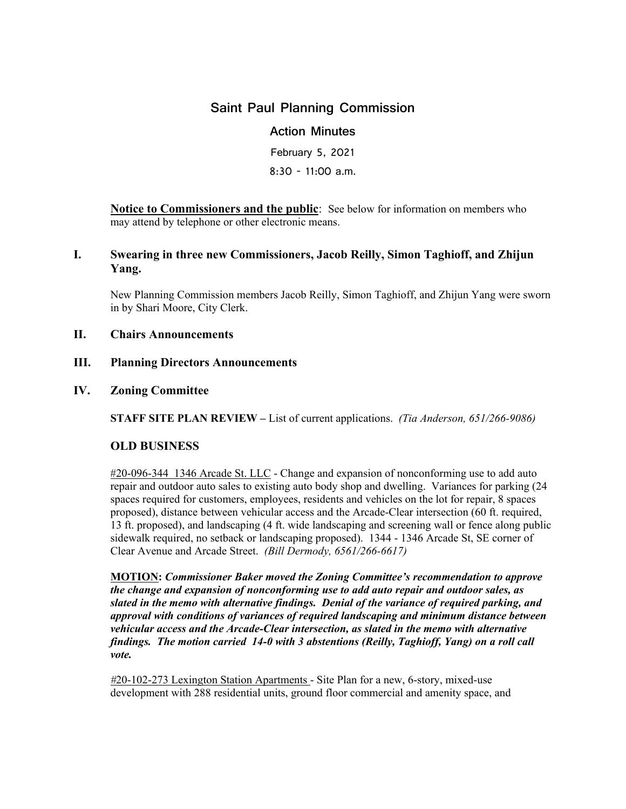# **Saint Paul Planning Commission**

# **Action Minutes**

February 5, 2021 8:30 - 11:00 a.m.

**Notice to Commissioners and the public**: See below for information on members who may attend by telephone or other electronic means.

# **I. Swearing in three new Commissioners, Jacob Reilly, Simon Taghioff, and Zhijun Yang.**

New Planning Commission members Jacob Reilly, Simon Taghioff, and Zhijun Yang were sworn in by Shari Moore, City Clerk.

## **II. Chairs Announcements**

#### **III. Planning Directors Announcements**

#### **IV. Zoning Committee**

**STAFF SITE PLAN REVIEW –** List of current applications. *(Tia Anderson, 651/266-9086)*

## **OLD BUSINESS**

#20-096-344 1346 Arcade St. LLC - Change and expansion of nonconforming use to add auto repair and outdoor auto sales to existing auto body shop and dwelling. Variances for parking (24 spaces required for customers, employees, residents and vehicles on the lot for repair, 8 spaces proposed), distance between vehicular access and the Arcade-Clear intersection (60 ft. required, 13 ft. proposed), and landscaping (4 ft. wide landscaping and screening wall or fence along public sidewalk required, no setback or landscaping proposed). 1344 - 1346 Arcade St, SE corner of Clear Avenue and Arcade Street. *(Bill Dermody, 6561/266-6617)* 

**MOTION:** *Commissioner Baker moved the Zoning Committee's recommendation to approve the change and expansion of nonconforming use to add auto repair and outdoor sales, as slated in the memo with alternative findings. Denial of the variance of required parking, and approval with conditions of variances of required landscaping and minimum distance between vehicular access and the Arcade-Clear intersection, as slated in the memo with alternative findings. The motion carried 14-0 with 3 abstentions (Reilly, Taghioff, Yang) on a roll call vote.* 

*#*20-102-273 Lexington Station Apartments - Site Plan for a new, 6-story, mixed-use development with 288 residential units, ground floor commercial and amenity space, and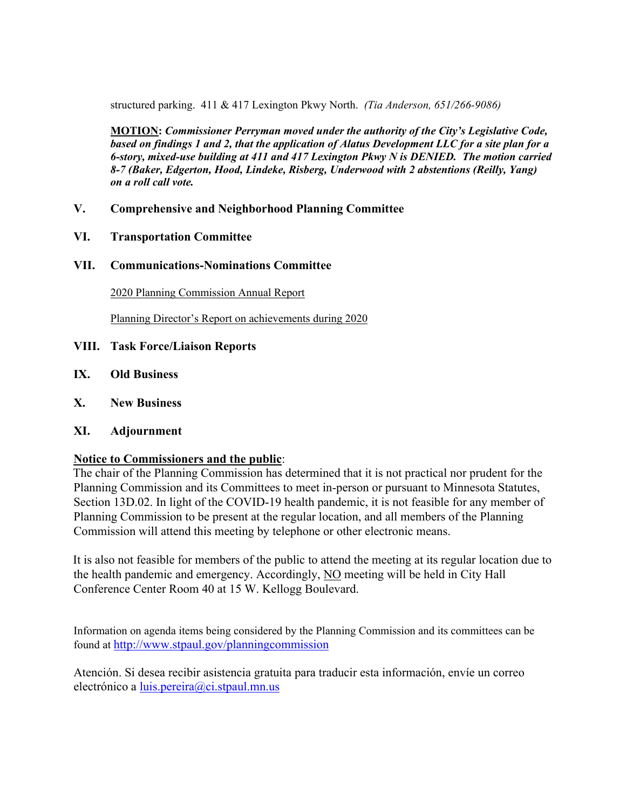structured parking. 411 & 417 Lexington Pkwy North. *(Tia Anderson, 651/266-9086)*

**MOTION:** *Commissioner Perryman moved under the authority of the City's Legislative Code, based on findings 1 and 2, that the application of Alatus Development LLC for a site plan for a 6-story, mixed-use building at 411 and 417 Lexington Pkwy N is DENIED. The motion carried 8-7 (Baker, Edgerton, Hood, Lindeke, Risberg, Underwood with 2 abstentions (Reilly, Yang) on a roll call vote.* 

- **V. Comprehensive and Neighborhood Planning Committee**
- **VI. Transportation Committee**
- **VII. Communications-Nominations Committee**

2020 Planning Commission Annual Report

Planning Director's Report on achievements during 2020

- **VIII. Task Force/Liaison Reports**
- **IX. Old Business**
- **X. New Business**
- **XI. Adjournment**

## **Notice to Commissioners and the public**:

The chair of the Planning Commission has determined that it is not practical nor prudent for the Planning Commission and its Committees to meet in-person or pursuant to Minnesota Statutes, Section 13D.02. In light of the COVID-19 health pandemic, it is not feasible for any member of Planning Commission to be present at the regular location, and all members of the Planning Commission will attend this meeting by telephone or other electronic means.

It is also not feasible for members of the public to attend the meeting at its regular location due to the health pandemic and emergency. Accordingly, NO meeting will be held in City Hall Conference Center Room 40 at 15 W. Kellogg Boulevard.

Information on agenda items being considered by the Planning Commission and its committees can be found at<http://www.stpaul.gov/planningcommission>

Atención. Si desea recibir asistencia gratuita para traducir esta información, envíe un correo electrónico a [luis.pereira@ci.stpaul.mn.us](mailto:luis.pereira@ci.stpaul.mn.us)